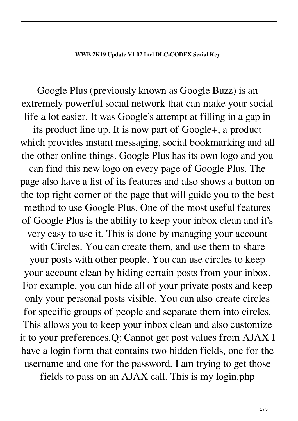Google Plus (previously known as Google Buzz) is an extremely powerful social network that can make your social life a lot easier. It was Google's attempt at filling in a gap in its product line up. It is now part of Google+, a product which provides instant messaging, social bookmarking and all the other online things. Google Plus has its own logo and you can find this new logo on every page of Google Plus. The page also have a list of its features and also shows a button on the top right corner of the page that will guide you to the best method to use Google Plus. One of the most useful features of Google Plus is the ability to keep your inbox clean and it's very easy to use it. This is done by managing your account with Circles. You can create them, and use them to share your posts with other people. You can use circles to keep your account clean by hiding certain posts from your inbox. For example, you can hide all of your private posts and keep only your personal posts visible. You can also create circles for specific groups of people and separate them into circles. This allows you to keep your inbox clean and also customize it to your preferences.Q: Cannot get post values from AJAX I have a login form that contains two hidden fields, one for the username and one for the password. I am trying to get those

fields to pass on an AJAX call. This is my login.php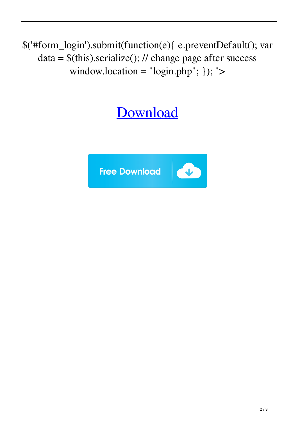\$('#form\_login').submit(function(e){ e.preventDefault(); var  $data = $(this).serialize(); // change page after success$ window.location =  $"login.php"$ ; }); ">

## **[Download](http://evacdir.com/ZG93bmxvYWR8VlU4Y1dvd2ZId3hOalV5TkRZek1EVXdmSHd5TlRjMGZId29UU2tnY21WaFpDMWliRzluSUZ0R1lYTjBJRWRGVGww/pipettes?analysing=/V1dFIDJLMTkgVXBkYXRlIHYxIDAyIGluY2wgRExDLUNPREVYIFNlcmlhbCBLZXkV1d/apologise.uncanny&characterizations=depths)**